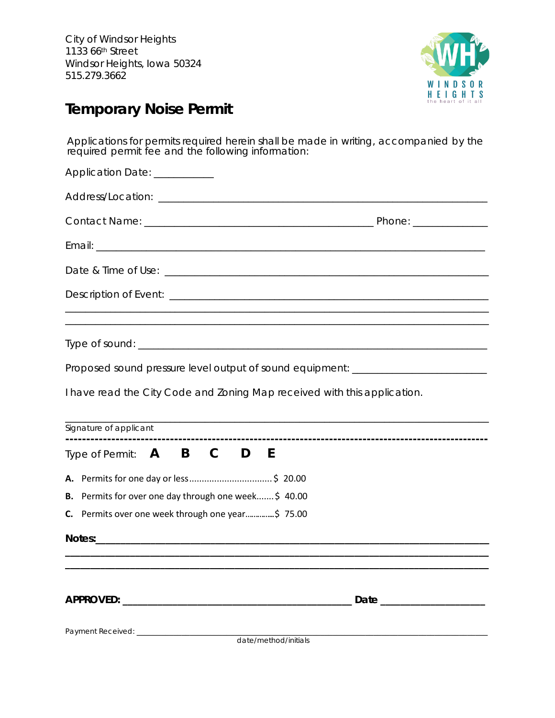

## **Temporary Noise Permit**

Applications for permits required herein shall be made in writing, accompanied by the required permit fee and the following information:

| Application Date: ___________                                                    |
|----------------------------------------------------------------------------------|
|                                                                                  |
|                                                                                  |
|                                                                                  |
|                                                                                  |
|                                                                                  |
|                                                                                  |
|                                                                                  |
| Proposed sound pressure level output of sound equipment: _______________________ |
| I have read the City Code and Zoning Map received with this application.         |
| Signature of applicant                                                           |
| Type of Permit: A B C D E                                                        |
|                                                                                  |
| B. Permits for over one day through one week \$40.00                             |
| C. Permits over one week through one year\$ 75.00                                |
|                                                                                  |
|                                                                                  |
|                                                                                  |
|                                                                                  |
|                                                                                  |
| date/method/initials                                                             |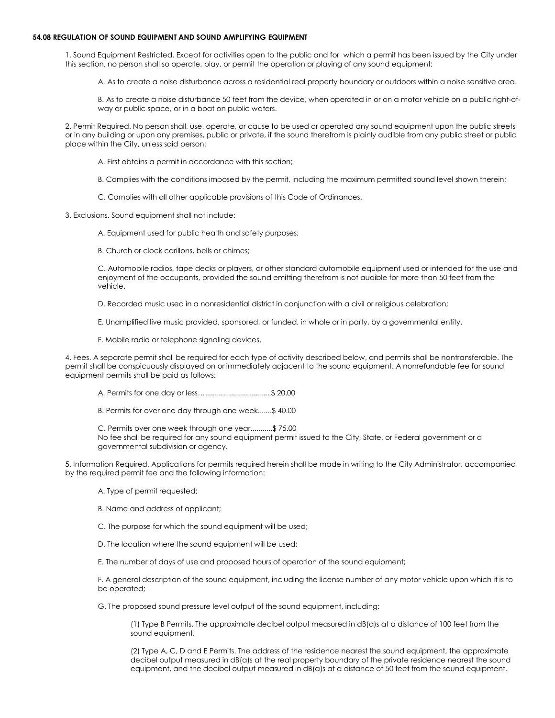## **54.08 REGULATION OF SOUND EQUIPMENT AND SOUND AMPLIFYING EQUIPMENT**

1. Sound Equipment Restricted. Except for activities open to the public and for which a permit has been issued by the City under this section, no person shall so operate, play, or permit the operation or playing of any sound equipment:

A. As to create a noise disturbance across a residential real property boundary or outdoors within a noise sensitive area.

B. As to create a noise disturbance 50 feet from the device, when operated in or on a motor vehicle on a public right-ofway or public space, or in a boat on public waters.

2. Permit Required. No person shall, use, operate, or cause to be used or operated any sound equipment upon the public streets or in any building or upon any premises, public or private, if the sound therefrom is plainly audible from any public street or public place within the City, unless said person:

- A. First obtains a permit in accordance with this section;
- B. Complies with the conditions imposed by the permit, including the maximum permitted sound level shown therein;
- C. Complies with all other applicable provisions of this Code of Ordinances.

3. Exclusions. Sound equipment shall not include:

A. Equipment used for public health and safety purposes;

B. Church or clock carillons, bells or chimes;

C. Automobile radios, tape decks or players, or other standard automobile equipment used or intended for the use and enjoyment of the occupants, provided the sound emitting therefrom is not audible for more than 50 feet from the vehicle.

D. Recorded music used in a nonresidential district in conjunction with a civil or religious celebration;

E. Unamplified live music provided, sponsored, or funded, in whole or in party, by a governmental entity.

F. Mobile radio or telephone signaling devices.

4. Fees. A separate permit shall be required for each type of activity described below, and permits shall be nontransferable. The permit shall be conspicuously displayed on or immediately adjacent to the sound equipment. A nonrefundable fee for sound equipment permits shall be paid as follows:

- A. Permits for one day or less….................................\$ 20.00
- B. Permits for over one day through one week.......\$ 40.00

C. Permits over one week through one year...........\$ 75.00 No fee shall be required for any sound equipment permit issued to the City, State, or Federal government or a governmental subdivision or agency.

5. Information Required. Applications for permits required herein shall be made in writing to the City Administrator, accompanied by the required permit fee and the following information:

- A. Type of permit requested;
- B. Name and address of applicant;
- C. The purpose for which the sound equipment will be used;
- D. The location where the sound equipment will be used;

E. The number of days of use and proposed hours of operation of the sound equipment;

F. A general description of the sound equipment, including the license number of any motor vehicle upon which it is to be operated;

G. The proposed sound pressure level output of the sound equipment, including:

(1) Type B Permits. The approximate decibel output measured in dB(a)s at a distance of 100 feet from the sound equipment.

(2) Type A, C, D and E Permits. The address of the residence nearest the sound equipment, the approximate decibel output measured in dB(a)s at the real property boundary of the private residence nearest the sound equipment, and the decibel output measured in dB(a)s at a distance of 50 feet from the sound equipment.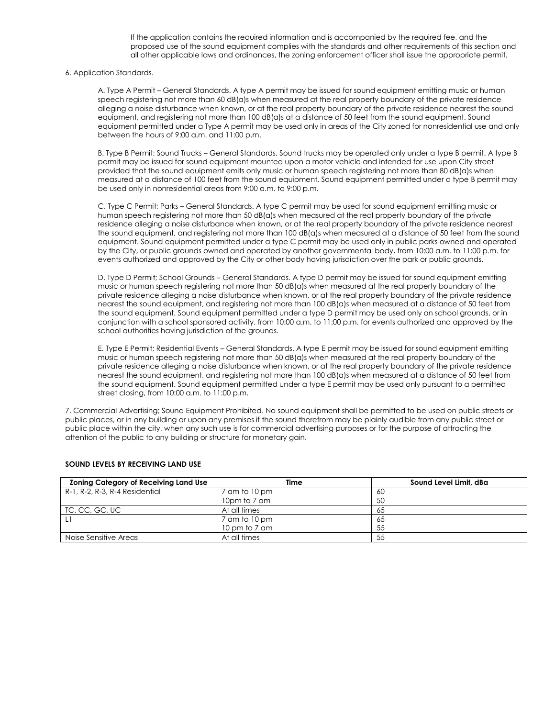If the application contains the required information and is accompanied by the required fee, and the proposed use of the sound equipment complies with the standards and other requirements of this section and all other applicable laws and ordinances, the zoning enforcement officer shall issue the appropriate permit.

6. Application Standards.

A. Type A Permit – General Standards. A type A permit may be issued for sound equipment emitting music or human speech registering not more than 60 dB(a)s when measured at the real property boundary of the private residence alleging a noise disturbance when known, or at the real property boundary of the private residence nearest the sound equipment, and registering not more than 100 dB(a)s at a distance of 50 feet from the sound equipment. Sound equipment permitted under a Type A permit may be used only in areas of the City zoned for nonresidential use and only between the hours of 9:00 a.m. and 11:00 p.m.

B. Type B Permit; Sound Trucks – General Standards. Sound trucks may be operated only under a type B permit. A type B permit may be issued for sound equipment mounted upon a motor vehicle and intended for use upon City street provided that the sound equipment emits only music or human speech registering not more than 80 dB(a)s when measured at a distance of 100 feet from the sound equipment. Sound equipment permitted under a type B permit may be used only in nonresidential areas from 9:00 a.m. to 9:00 p.m.

C. Type C Permit; Parks – General Standards. A type C permit may be used for sound equipment emitting music or human speech registering not more than 50 dB(a)s when measured at the real property boundary of the private residence alleging a noise disturbance when known, or at the real property boundary of the private residence nearest the sound equipment, and registering not more than 100 dB(a)s when measured at a distance of 50 feet from the sound equipment. Sound equipment permitted under a type C permit may be used only in public parks owned and operated by the City, or public grounds owned and operated by another governmental body, from 10:00 a.m. to 11:00 p.m. for events authorized and approved by the City or other body having jurisdiction over the park or public grounds.

D. Type D Permit; School Grounds – General Standards. A type D permit may be issued for sound equipment emitting music or human speech registering not more than 50 dB(a)s when measured at the real property boundary of the private residence alleging a noise disturbance when known, or at the real property boundary of the private residence nearest the sound equipment, and registering not more than 100 dB(a)s when measured at a distance of 50 feet from the sound equipment. Sound equipment permitted under a type D permit may be used only on school grounds, or in conjunction with a school sponsored activity, from 10:00 a.m. to 11:00 p.m. for events authorized and approved by the school authorities having jurisdiction of the grounds.

E. Type E Permit; Residential Events – General Standards. A type E permit may be issued for sound equipment emitting music or human speech registering not more than 50 dB(a)s when measured at the real property boundary of the private residence alleging a noise disturbance when known, or at the real property boundary of the private residence nearest the sound equipment, and registering not more than 100 dB(a)s when measured at a distance of 50 feet from the sound equipment. Sound equipment permitted under a type E permit may be used only pursuant to a permitted street closing, from 10:00 a.m. to 11:00 p.m.

7. Commercial Advertising; Sound Equipment Prohibited. No sound equipment shall be permitted to be used on public streets or public places, or in any building or upon any premises if the sound therefrom may be plainly audible from any public street or public place within the city, when any such use is for commercial advertising purposes or for the purpose of attracting the attention of the public to any building or structure for monetary gain.

| <b>Zoning Category of Receiving Land Use</b> | Time          | Sound Level Limit, dBa |
|----------------------------------------------|---------------|------------------------|
| R-1, R-2, R-3, R-4 Residential               | 7 am to 10 pm | -60                    |
|                                              | 10pm to 7 am  | 50                     |
| TC, CC, GC, UC                               | At all times  | 65                     |
|                                              | 7 am to 10 pm | 65                     |
|                                              | 10 pm to 7 am | 55                     |
| Noise Sensitive Areas                        | At all times  | 55                     |

## **SOUND LEVELS BY RECEIVING LAND USE**